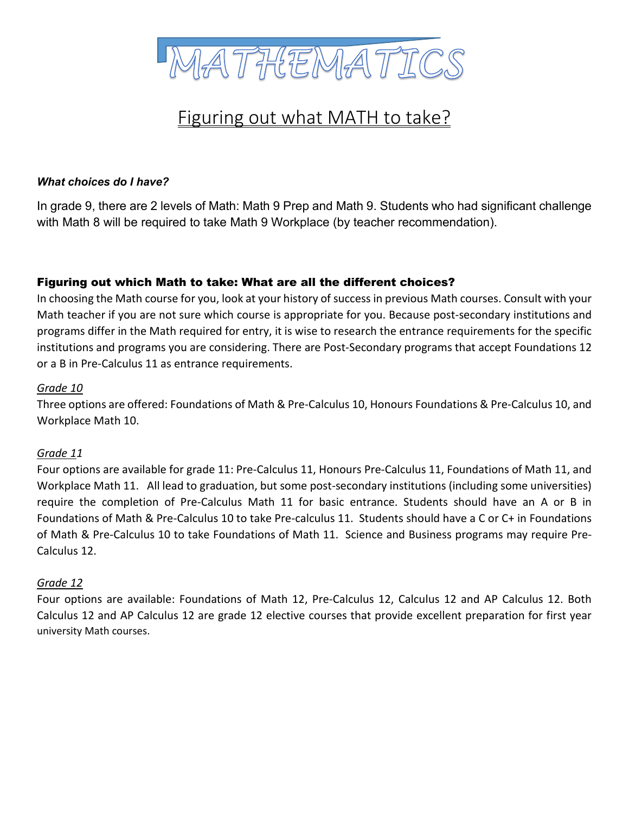

# Figuring out what MATH to take?

#### *What choices do I have?*

In grade 9, there are 2 levels of Math: Math 9 Prep and Math 9. Students who had significant challenge with Math 8 will be required to take Math 9 Workplace (by teacher recommendation).

#### Figuring out which Math to take: What are all the different choices?

In choosing the Math course for you, look at your history of success in previous Math courses. Consult with your Math teacher if you are not sure which course is appropriate for you. Because post-secondary institutions and programs differ in the Math required for entry, it is wise to research the entrance requirements for the specific institutions and programs you are considering. There are Post-Secondary programs that accept Foundations 12 or a B in Pre-Calculus 11 as entrance requirements.

#### *Grade 10*

Three options are offered: Foundations of Math & Pre-Calculus 10, Honours Foundations & Pre-Calculus 10, and Workplace Math 10.

#### *Grade 11*

Four options are available for grade 11: Pre-Calculus 11, Honours Pre-Calculus 11, Foundations of Math 11, and Workplace Math 11. All lead to graduation, but some post-secondary institutions (including some universities) require the completion of Pre-Calculus Math 11 for basic entrance. Students should have an A or B in Foundations of Math & Pre-Calculus 10 to take Pre-calculus 11. Students should have a C or C+ in Foundations of Math & Pre-Calculus 10 to take Foundations of Math 11. Science and Business programs may require Pre-Calculus 12.

#### *Grade 12*

Four options are available: Foundations of Math 12, Pre-Calculus 12, Calculus 12 and AP Calculus 12. Both Calculus 12 and AP Calculus 12 are grade 12 elective courses that provide excellent preparation for first year university Math courses.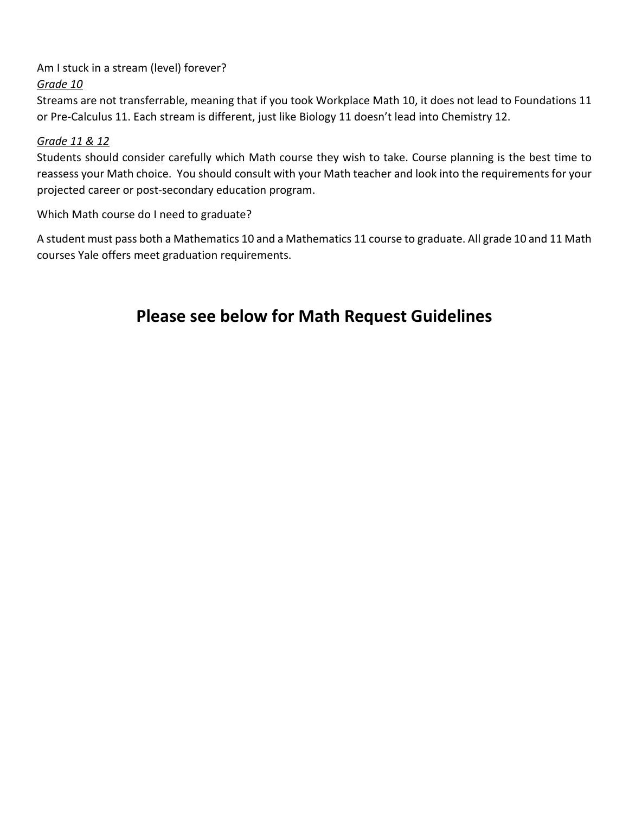Am I stuck in a stream (level) forever?

### *Grade 10*

Streams are not transferrable, meaning that if you took Workplace Math 10, it does not lead to Foundations 11 or Pre-Calculus 11. Each stream is different, just like Biology 11 doesn't lead into Chemistry 12.

### *Grade 11 & 12*

Students should consider carefully which Math course they wish to take. Course planning is the best time to reassess your Math choice. You should consult with your Math teacher and look into the requirements for your projected career or post-secondary education program.

Which Math course do I need to graduate?

A student must pass both a Mathematics 10 and a Mathematics 11 course to graduate. All grade 10 and 11 Math courses Yale offers meet graduation requirements.

## **Please see below for Math Request Guidelines**